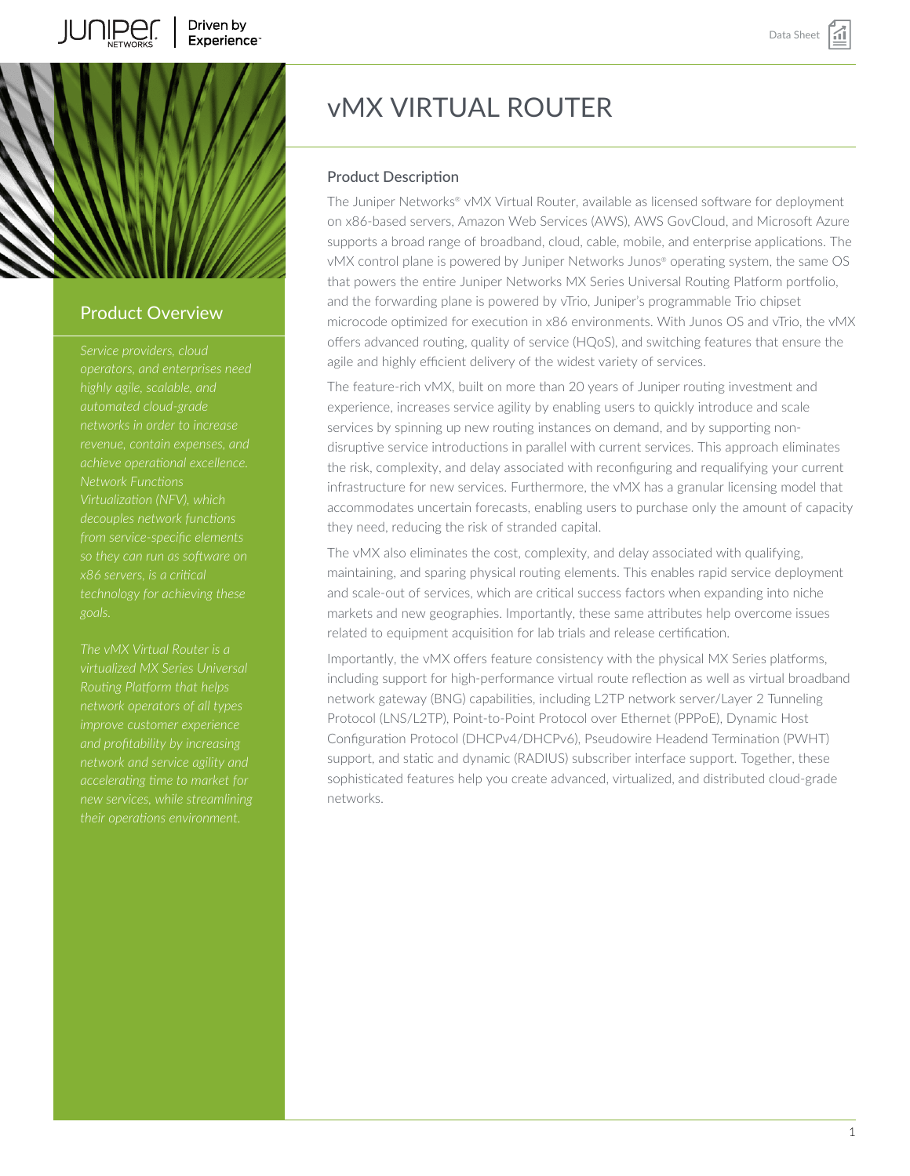# vMX VIRTUAL ROUTER

# Product Description

The Juniper Networks® vMX Virtual Router, available as licensed software for deployment on x86-based servers, Amazon Web Services (AWS), AWS GovCloud, and Microsoft Azure supports a broad range of broadband, cloud, cable, mobile, and enterprise applications. The vMX control plane is powered by Juniper Networks Junos® operating system, the same OS that powers the entire Juniper Networks MX Series Universal Routing Platform portfolio, and the forwarding plane is powered by vTrio, Juniper's programmable Trio chipset microcode optimized for execution in x86 environments. With Junos OS and vTrio, the vMX offers advanced routing, quality of service (HQoS), and switching features that ensure the agile and highly efficient delivery of the widest variety of services.

The feature-rich vMX, built on more than 20 years of Juniper routing investment and experience, increases service agility by enabling users to quickly introduce and scale services by spinning up new routing instances on demand, and by supporting nondisruptive service introductions in parallel with current services. This approach eliminates the risk, complexity, and delay associated with reconfiguring and requalifying your current infrastructure for new services. Furthermore, the vMX has a granular licensing model that accommodates uncertain forecasts, enabling users to purchase only the amount of capacity they need, reducing the risk of stranded capital.

The vMX also eliminates the cost, complexity, and delay associated with qualifying, maintaining, and sparing physical routing elements. This enables rapid service deployment and scale-out of services, which are critical success factors when expanding into niche markets and new geographies. Importantly, these same attributes help overcome issues related to equipment acquisition for lab trials and release certification.

Importantly, the vMX offers feature consistency with the physical MX Series platforms, including support for high-performance virtual route reflection as well as virtual broadband network gateway (BNG) capabilities, including L2TP network server/Layer 2 Tunneling Protocol (LNS/L2TP), Point-to-Point Protocol over Ethernet (PPPoE), Dynamic Host Configuration Protocol (DHCPv4/DHCPv6), Pseudowire Headend Termination (PWHT) support, and static and dynamic (RADIUS) subscriber interface support. Together, these sophisticated features help you create advanced, virtualized, and distributed cloud-grade networks.

# Product Overview

*operators, and enterprises need highly agile, scalable, and revenue, contain expenses, and achieve operational excellence. Network Functions decouples network functions from service-specific elements x86 servers, is a critical*

*The vMX Virtual Router is a virtualized MX Series Universal network operators of all types improve customer experience network and service agility and their operations environment.*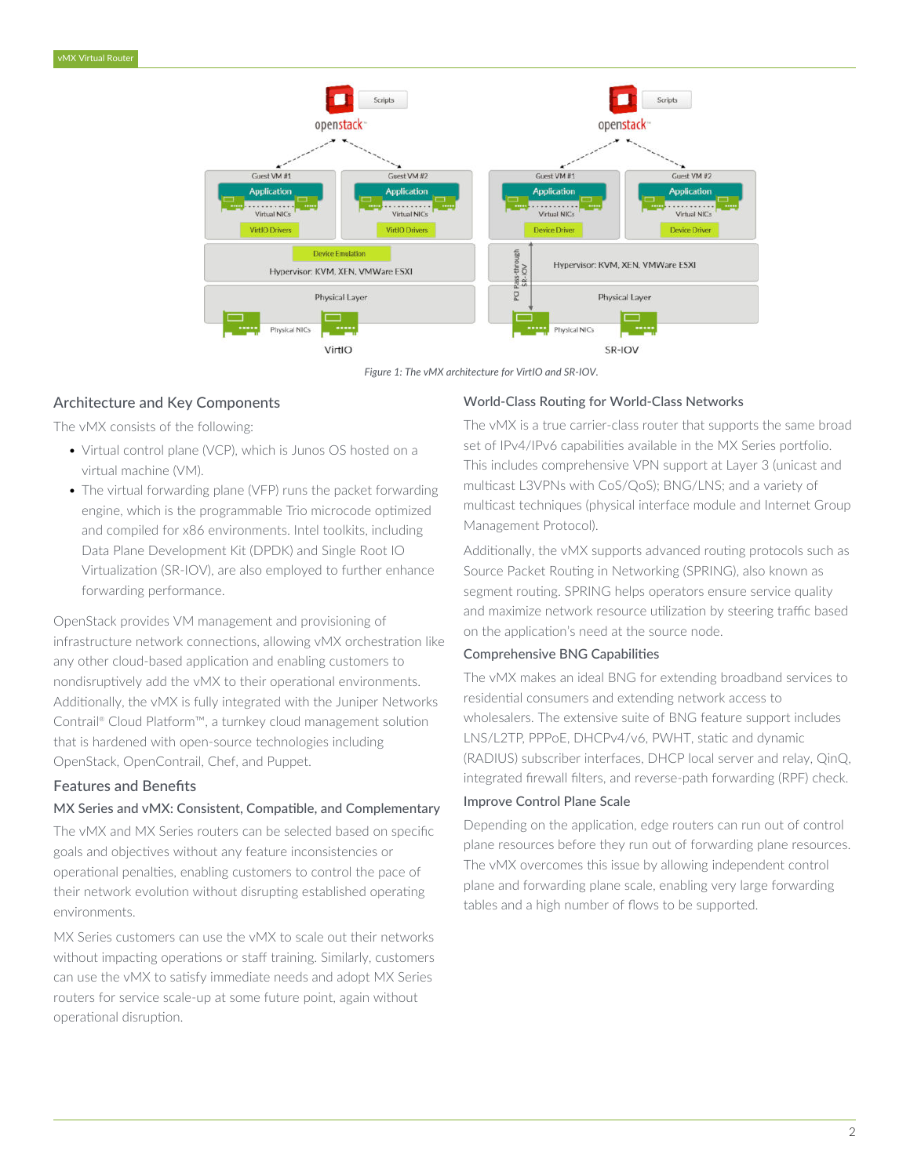

*Figure 1: The vMX architecture for VirtIO and SR-IOV.*

# Architecture and Key Components

The vMX consists of the following:

- Virtual control plane (VCP), which is Junos OS hosted on a virtual machine (VM).
- The virtual forwarding plane (VFP) runs the packet forwarding engine, which is the programmable Trio microcode optimized and compiled for x86 environments. Intel toolkits, including Data Plane Development Kit (DPDK) and Single Root IO Virtualization (SR-IOV), are also employed to further enhance forwarding performance.

OpenStack provides VM management and provisioning of infrastructure network connections, allowing vMX orchestration like any other cloud-based application and enabling customers to nondisruptively add the vMX to their operational environments. Additionally, the vMX is fully integrated with the Juniper Networks Contrail® Cloud Platform™, a turnkey cloud management solution that is hardened with open-source technologies including OpenStack, OpenContrail, Chef, and Puppet.

# Features and Benefits

## MX Series and vMX: Consistent, Compatible, and Complementary

The vMX and MX Series routers can be selected based on specific goals and objectives without any feature inconsistencies or operational penalties, enabling customers to control the pace of their network evolution without disrupting established operating environments.

MX Series customers can use the vMX to scale out their networks without impacting operations or staff training. Similarly, customers can use the vMX to satisfy immediate needs and adopt MX Series routers for service scale-up at some future point, again without operational disruption.

# World-Class Routing for World-Class Networks

The vMX is a true carrier-class router that supports the same broad set of IPv4/IPv6 capabilities available in the MX Series portfolio. This includes comprehensive VPN support at Layer 3 (unicast and multicast L3VPNs with CoS/QoS); BNG/LNS; and a variety of multicast techniques (physical interface module and Internet Group Management Protocol).

Additionally, the vMX supports advanced routing protocols such as Source Packet Routing in Networking (SPRING), also known as segment routing. SPRING helps operators ensure service quality and maximize network resource utilization by steering traffic based on the application's need at the source node.

## Comprehensive BNG Capabilities

The vMX makes an ideal BNG for extending broadband services to residential consumers and extending network access to wholesalers. The extensive suite of BNG feature support includes LNS/L2TP, PPPoE, DHCPv4/v6, PWHT, static and dynamic (RADIUS) subscriber interfaces, DHCP local server and relay, QinQ, integrated firewall filters, and reverse-path forwarding (RPF) check.

## Improve Control Plane Scale

Depending on the application, edge routers can run out of control plane resources before they run out of forwarding plane resources. The vMX overcomes this issue by allowing independent control plane and forwarding plane scale, enabling very large forwarding tables and a high number of flows to be supported.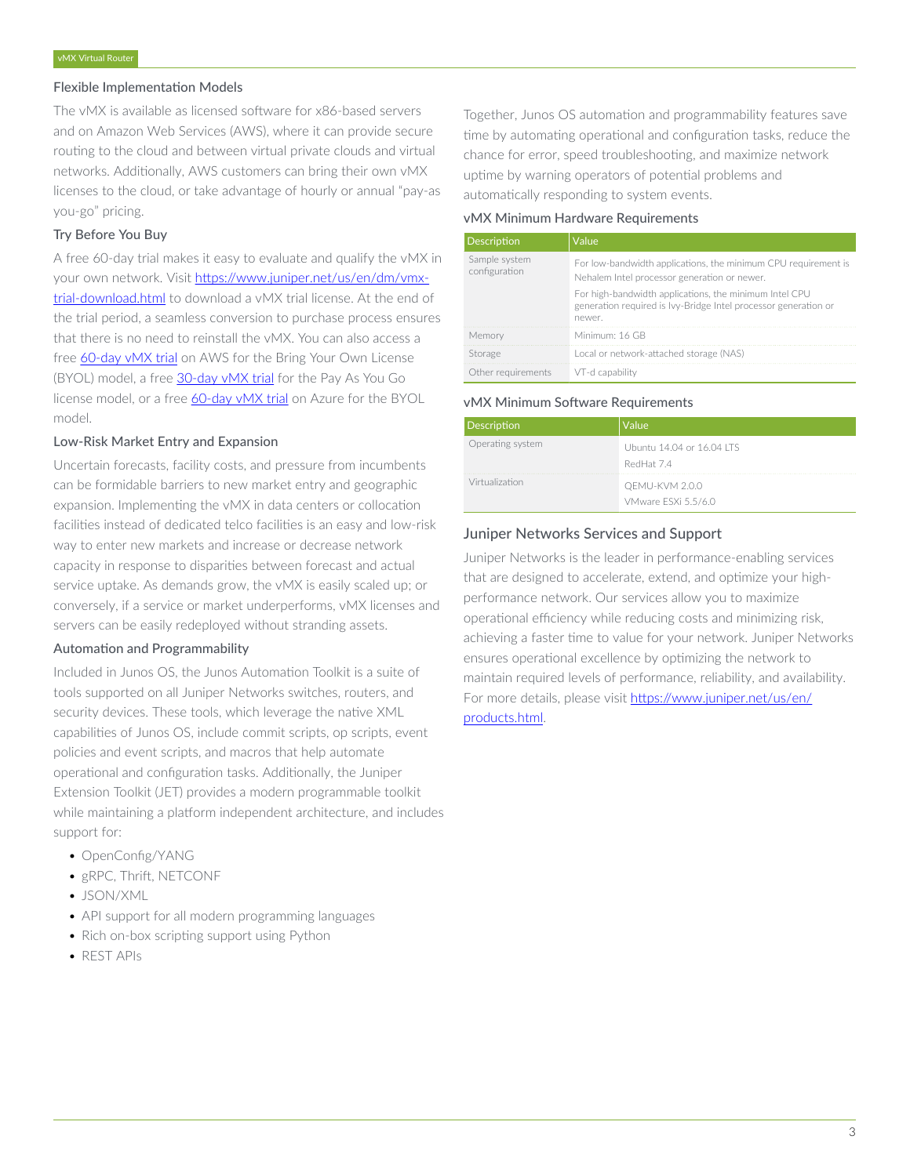#### Flexible Implementation Models

The vMX is available as licensed software for x86-based servers and on Amazon Web Services (AWS), where it can provide secure routing to the cloud and between virtual private clouds and virtual networks. Additionally, AWS customers can bring their own vMX licenses to the cloud, or take advantage of hourly or annual "pay-as you-go" pricing.

### Try Before You Buy

A free 60-day trial makes it easy to evaluate and qualify the vMX in your own network. Visit [https://www.juniper.net/us/en/dm/vmx](https://www.juniper.net/us/en/dm/vmx-trial-download.html)[trial-download.html](https://www.juniper.net/us/en/dm/vmx-trial-download.html) to download a vMX trial license. At the end of the trial period, a seamless conversion to purchase process ensures that there is no need to reinstall the vMX. You can also access a free [60-day vMX trial](https://aws.amazon.com/marketplace/pp/prodview-x2me6wo2s2qts) on AWS for the Bring Your Own License (BYOL) model, a free [30-day vMX trial](https://aws.amazon.com/marketplace/pp/prodview-qkf6h4yfmy5oq?qid=1487177789427&sr=0-6&ref_=srh_res_product_title) for the Pay As You Go license model, or a free [60-day vMX trial](https://azuremarketplace.microsoft.com/en-us/marketplace/apps/juniper-networks.vmx-services-gateway-byol?tab=Overview) on Azure for the BYOL model.

#### Low-Risk Market Entry and Expansion

Uncertain forecasts, facility costs, and pressure from incumbents can be formidable barriers to new market entry and geographic expansion. Implementing the vMX in data centers or collocation facilities instead of dedicated telco facilities is an easy and low-risk way to enter new markets and increase or decrease network capacity in response to disparities between forecast and actual service uptake. As demands grow, the vMX is easily scaled up; or conversely, if a service or market underperforms, vMX licenses and servers can be easily redeployed without stranding assets.

#### Automation and Programmability

Included in Junos OS, the Junos Automation Toolkit is a suite of tools supported on all Juniper Networks switches, routers, and security devices. These tools, which leverage the native XML capabilities of Junos OS, include commit scripts, op scripts, event policies and event scripts, and macros that help automate operational and configuration tasks. Additionally, the Juniper Extension Toolkit (JET) provides a modern programmable toolkit while maintaining a platform independent architecture, and includes support for:

- OpenConfig/YANG
- gRPC, Thrift, NETCONF
- JSON/XML
- API support for all modern programming languages
- Rich on-box scripting support using Python
- REST APIs

Together, Junos OS automation and programmability features save time by automating operational and configuration tasks, reduce the chance for error, speed troubleshooting, and maximize network uptime by warning operators of potential problems and automatically responding to system events.

#### vMX Minimum Hardware Requirements

| Description                    | Value                                                                                                                               |
|--------------------------------|-------------------------------------------------------------------------------------------------------------------------------------|
| Sample system<br>configuration | For low-bandwidth applications, the minimum CPU requirement is<br>Nehalem Intel processor generation or newer.                      |
|                                | For high-bandwidth applications, the minimum Intel CPU<br>generation required is Ivy-Bridge Intel processor generation or<br>newer. |
| Memory                         | Minimum: 16 GB                                                                                                                      |
| Storage                        | Local or network-attached storage (NAS)                                                                                             |
| Other requirements             | VT-d capability                                                                                                                     |

#### vMX Minimum Software Requirements

| Description      | Value                                   |
|------------------|-----------------------------------------|
| Operating system | Ubuntu 14.04 or 16.04 ITS<br>RedHat 7.4 |
| Virtualization   | QEMU-KVM 2.0.0<br>VMware ESXi 5.5/6.0   |

## Juniper Networks Services and Support

Juniper Networks is the leader in performance-enabling services that are designed to accelerate, extend, and optimize your highperformance network. Our services allow you to maximize operational efficiency while reducing costs and minimizing risk, achieving a faster time to value for your network. Juniper Networks ensures operational excellence by optimizing the network to maintain required levels of performance, reliability, and availability. For more details, please visit [https://www.juniper.net/us/en/](https://www.juniper.net/us/en/products.html) [products.html.](https://www.juniper.net/us/en/products.html)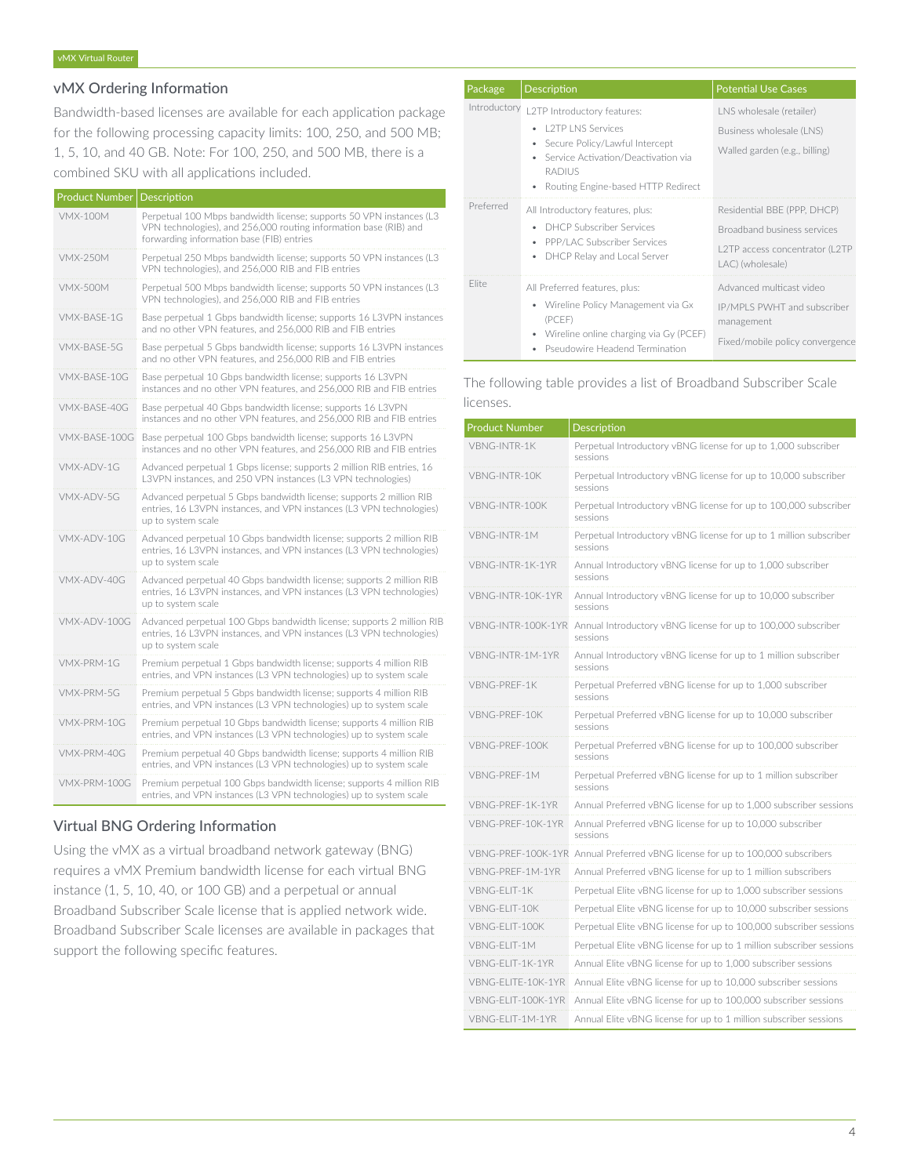# vMX Ordering Information

Bandwidth-based licenses are available for each application package for the following processing capacity limits: 100, 250, and 500 MB; 1, 5, 10, and 40 GB. Note: For 100, 250, and 500 MB, there is a combined SKU with all applications included.

| Product Number  | Description                                                                                                                                                                           |
|-----------------|---------------------------------------------------------------------------------------------------------------------------------------------------------------------------------------|
| <b>VMX-100M</b> | Perpetual 100 Mbps bandwidth license; supports 50 VPN instances (L3<br>VPN technologies), and 256,000 routing information base (RIB) and<br>forwarding information base (FIB) entries |
| <b>VMX-250M</b> | Perpetual 250 Mbps bandwidth license; supports 50 VPN instances (L3<br>VPN technologies), and 256,000 RIB and FIB entries                                                             |
| <b>VMX-500M</b> | Perpetual 500 Mbps bandwidth license; supports 50 VPN instances (L3<br>VPN technologies), and 256,000 RIB and FIB entries                                                             |
| VMX-BASF-1G     | Base perpetual 1 Gbps bandwidth license; supports 16 L3VPN instances<br>and no other VPN features, and 256,000 RIB and FIB entries                                                    |
| VMX-BASE-5G     | Base perpetual 5 Gbps bandwidth license; supports 16 L3VPN instances<br>and no other VPN features, and 256,000 RIB and FIB entries                                                    |
| VMX-BASE-10G    | Base perpetual 10 Gbps bandwidth license; supports 16 L3VPN<br>instances and no other VPN features, and 256,000 RIB and FIB entries                                                   |
| VMX-BASF-40G    | Base perpetual 40 Gbps bandwidth license; supports 16 L3VPN<br>instances and no other VPN features, and 256,000 RIB and FIB entries                                                   |
| VMX-BASE-100G   | Base perpetual 100 Gbps bandwidth license; supports 16 L3VPN<br>instances and no other VPN features, and 256,000 RIB and FIB entries                                                  |
| VMX-ADV-1G      | Advanced perpetual 1 Gbps license; supports 2 million RIB entries, 16<br>L3VPN instances, and 250 VPN instances (L3 VPN technologies)                                                 |
| VMX-ADV-5G      | Advanced perpetual 5 Gbps bandwidth license; supports 2 million RIB<br>entries, 16 L3VPN instances, and VPN instances (L3 VPN technologies)<br>up to system scale                     |
| VMX-ADV-10G     | Advanced perpetual 10 Gbps bandwidth license; supports 2 million RIB<br>entries, 16 L3VPN instances, and VPN instances (L3 VPN technologies)<br>up to system scale                    |
| VMX-ADV-40G     | Advanced perpetual 40 Gbps bandwidth license; supports 2 million RIB<br>entries, 16 L3VPN instances, and VPN instances (L3 VPN technologies)<br>up to system scale                    |
| VMX-ADV-100G    | Advanced perpetual 100 Gbps bandwidth license; supports 2 million RIB<br>entries, 16 L3VPN instances, and VPN instances (L3 VPN technologies)<br>up to system scale                   |
| VMX-PRM-1G      | Premium perpetual 1 Gbps bandwidth license; supports 4 million RIB<br>entries, and VPN instances (L3 VPN technologies) up to system scale                                             |
| VMX-PRM-5G      | Premium perpetual 5 Gbps bandwidth license; supports 4 million RIB<br>entries, and VPN instances (L3 VPN technologies) up to system scale                                             |
| VMX-PRM-10G     | Premium perpetual 10 Gbps bandwidth license; supports 4 million RIB<br>entries, and VPN instances (L3 VPN technologies) up to system scale                                            |
| VMX-PRM-40G     | Premium perpetual 40 Gbps bandwidth license; supports 4 million RIB<br>entries, and VPN instances (L3 VPN technologies) up to system scale                                            |
| VMX-PRM-100G    | Premium perpetual 100 Gbps bandwidth license; supports 4 million RIB<br>entries, and VPN instances (L3 VPN technologies) up to system scale                                           |

# Virtual BNG Ordering Information

Using the vMX as a virtual broadband network gateway (BNG) requires a vMX Premium bandwidth license for each virtual BNG instance (1, 5, 10, 40, or 100 GB) and a perpetual or annual Broadband Subscriber Scale license that is applied network wide. Broadband Subscriber Scale licenses are available in packages that support the following specific features.

| Package      | Description                                                                                                                                                                                    | <b>Potential Use Cases</b>                                                                                       |
|--------------|------------------------------------------------------------------------------------------------------------------------------------------------------------------------------------------------|------------------------------------------------------------------------------------------------------------------|
| Introductory | L2TP Introductory features:<br><b>L2TP LNS Services</b><br>• Secure Policy/Lawful Intercept<br>• Service Activation/Deactivation via<br><b>RADILIS</b><br>• Routing Engine-based HTTP Redirect | LNS wholesale (retailer)<br>Business wholesale (LNS)<br>Walled garden (e.g., billing)                            |
| Preferred    | All Introductory features, plus:<br>DHCP Subscriber Services<br>• PPP/LAC Subscriber Services<br>DHCP Relay and Local Server<br>$\bullet$                                                      | Residential BBE (PPP, DHCP)<br>Broadband business services<br>L2TP access concentrator (L2TP<br>LAC) (wholesale) |
| Flite        | All Preferred features, plus:<br>• Wireline Policy Management via Gx<br>(PCEF)<br>Wireline online charging via Gy (PCEF)<br><b>Pseudowire Headend Termination</b>                              | Advanced multicast video<br>IP/MPLS PWHT and subscriber<br>management<br>Fixed/mobile policy convergence         |

# The following table provides a list of Broadband Subscriber Scale licenses.

| <b>Product Number</b> | Description                                                                    |
|-----------------------|--------------------------------------------------------------------------------|
| VBNG-INTR-1K          | Perpetual Introductory vBNG license for up to 1,000 subscriber<br>sessions     |
| VBNG-INTR-10K         | Perpetual Introductory vBNG license for up to 10,000 subscriber<br>sessions    |
| VBNG-INTR-100K        | Perpetual Introductory vBNG license for up to 100,000 subscriber<br>sessions   |
| VBNG-INTR-1M          | Perpetual Introductory vBNG license for up to 1 million subscriber<br>sessions |
| VBNG-INTR-1K-1YR      | Annual Introductory vBNG license for up to 1,000 subscriber<br>sessions        |
| VBNG-INTR-10K-1YR     | Annual Introductory vBNG license for up to 10,000 subscriber<br>sessions       |
| VBNG-INTR-100K-1YR    | Annual Introductory vBNG license for up to 100,000 subscriber<br>sessions      |
| VBNG-INTR-1M-1YR      | Annual Introductory vBNG license for up to 1 million subscriber<br>sessions    |
| VBNG-PREF-1K          | Perpetual Preferred vBNG license for up to 1,000 subscriber<br>sessions        |
| VBNG-PRFF-10K         | Perpetual Preferred vBNG license for up to 10,000 subscriber<br>sessions       |
| VBNG-PRFF-100K        | Perpetual Preferred vBNG license for up to 100,000 subscriber<br>sessions      |
| VBNG-PREF-1M          | Perpetual Preferred vBNG license for up to 1 million subscriber<br>sessions    |
| VBNG-PREF-1K-1YR      | Annual Preferred vBNG license for up to 1,000 subscriber sessions              |
| VBNG-PREF-10K-1YR     | Annual Preferred vBNG license for up to 10,000 subscriber<br>sessions          |
|                       | VBNG-PREF-100K-1YR Annual Preferred vBNG license for up to 100,000 subscribers |
| VBNG-PREF-1M-1YR      | Annual Preferred vBNG license for up to 1 million subscribers                  |
| VBNG-FLIT-1K          | Perpetual Elite vBNG license for up to 1,000 subscriber sessions               |
| VBNG-ELIT-10K         | Perpetual Elite vBNG license for up to 10,000 subscriber sessions              |
| VBNG-ELIT-100K        | Perpetual Elite vBNG license for up to 100,000 subscriber sessions             |
| VBNG-ELIT-1M          | Perpetual Elite vBNG license for up to 1 million subscriber sessions           |
| VBNG-FI IT-1K-1YR     | Annual Elite vBNG license for up to 1.000 subscriber sessions                  |
| VBNG-FI ITF-10K-1YR   | Annual Elite vBNG license for up to 10,000 subscriber sessions                 |
| VBNG-FI IT-100K-1YR   | Annual Elite vBNG license for up to 100,000 subscriber sessions                |
| VBNG-ELIT-1M-1YR      | Annual Elite vBNG license for up to 1 million subscriber sessions              |